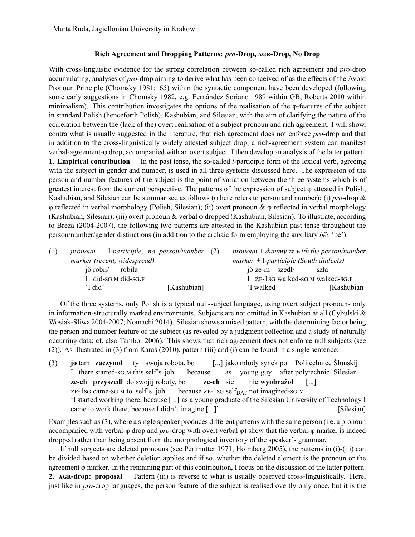## **Rich Agreement and Dropping Patterns: pro-Drop, AGR-Drop, No Drop**

With cross-linguistic evidence for the strong correlation between so-called rich agreement and *pro-*drop accumulating, analyses of *pro-*drop aiming to derive what has been conceived of as the effects of the Avoid Pronoun Principle (Chomsky 1981: 65) within the syntactic component have been developed (following some early suggestions in Chomsky 1982, e.g. Fernández Soriano 1989 within GB, Roberts 2010 within minimalism). This contribution investigates the options of the realisation of the  $\varphi$ -features of the subject in standard Polish (henceforth Polish), Kashubian, and Silesian, with the aim of clarifying the nature of the correlation between the (lack of the) overt realisation of a subject pronoun and rich agreement. I will show, contra what is usually suggested in the literature, that rich agreement does not enforce *pro-*drop and that in addition to the cross-linguistically widely attested subject drop, a rich-agreement system can manifest verbal-agreement-φ drop, accompanied with an overt subject. I then develop an analysis of the latter pattern. **1. Empirical contribution** In the past tense, the so-called *l-*participle form of the lexical verb, agreeing with the subject in gender and number, is used in all three systems discussed here. The expression of the person and number features of the subject is the point of variation between the three systems which is of greatest interest from the current perspective. The patterns of the expression of subject φ attested in Polish, Kashubian, and Silesian can be summarised as follows (φ here refers to person and number): (i) *pro-*drop & φ reflected in verbal morphology (Polish, Silesian); (ii) overt pronoun & φ reflected in verbal morphology (Kashubian, Silesian); (iii) overt pronoun & verbal φ dropped (Kashubian, Silesian). To illustrate, according to Breza (2004-2007), the following two patterns are attested in the Kashubian past tense throughout the person/number/gender distinctions (in addition to the archaic form employing the auxiliary *bëc* 'be'):

| (1) | pronoun + l-participle, no person/number $(2)$ |             |                                          |                | $p$ ronoun + dummy ze with the person/number |
|-----|------------------------------------------------|-------------|------------------------------------------|----------------|----------------------------------------------|
|     | marker (recent, widespread)                    |             | $marker + l-participle (South dialects)$ |                |                                              |
|     | jô robił/ robiła                               |             |                                          | jô że-m szedł/ | szła                                         |
|     | I did-SG.M did-SG.F                            |             |                                          |                | I $\bar{z}$ E-1sG walked-sG.M walked-sG.F    |
|     | 'I did'                                        | [Kashubian] |                                          | 'I walked'     | [Kashubian]                                  |
|     |                                                |             |                                          |                |                                              |

Of the three systems, only Polish is a typical null-subject language, using overt subject pronouns only in information-structurally marked environments. Subjects are not omitted in Kashubian at all (Cybulski  $\&$ Wosiak-Śliwa 2004-2007; Nomachi 2014). Silesian shows a mixed pattern, with the determining factor being the person and number feature of the subject (as revealed by a judgment collection and a study of naturally occurring data; cf. also Tambor 2006). This shows that rich agreement does not enforce null subjects (see (2)). As illustrated in (3) from Karaś (2010), pattern (iii) and (i) can be found in a single sentence:

(3) **jo** I there started-sG.M this self's job tam **zaczynoł** ty swoja robota, bo because [...] jako młody synek po Politechnice Ślunskij as young guy after polytechnic Silesian **ze-ch przyszedł** do swojij roboty, bo ZE-1sG came-sG.M to self's job because zE-1sG self<sub>DAT</sub> not imagined-sG.M **ze-ch** sie nie **wyobrażoł** [...] 'I started working there, because [...] as a young graduate of the Silesian University of Technology I came to work there, because I didn't imagine [...]' [Silesian]

Examples such as (3), where a single speaker produces different patterns with the same person (i.e. a pronoun accompanied with verbal-φ drop and *pro-*drop with overt verbal φ) show that the verbal-φ marker is indeed dropped rather than being absent from the morphological inventory of the speaker's grammar.

If null subjects are deleted pronouns (see Perlmutter 1971, Holmberg 2005), the patterns in (i)-(iii) can be divided based on whether deletion applies and if so, whether the deleted element is the pronoun or the agreement φ marker. In the remaining part of this contribution, I focus on the discussion of the latter pattern. **2. AGR-drop: proposal** Pattern (iii) is reverse to what is usually observed cross-linguistically. Here, just like in *pro-*drop languages, the person feature of the subject is realised overtly only once, but it is the